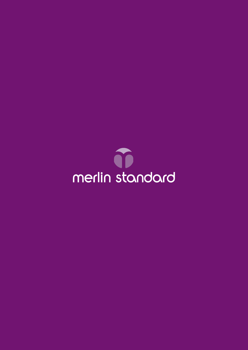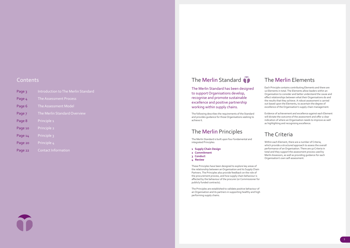The Merlin Standard has been designed to support Organisations develop, recognise and promote sustainable excellence and positive partnership working within supply chains.

The following describes the requirements of the Standard and provides guidance for those Organisations seeking to achieve it.

# The Merlin Principles

The Merlin Standard is built upon four fundamental and integrated Principles:

- **1 Supply Chain Design**
- **2 Commitment**
- **3 Conduct**
- **4 Review**

These Principles have been designed to explore key areas of the relationship between an Organisation and its Supply Chain Partners. The Principles also provide feedback on the role of the procurement process, and how supply chain behaviour is affected by the behaviour of the procurer (or Commissioner for publicly funded contracts).

The Principles are established to validate positive behaviour of an Organisation and its partners in supporting healthy and high performing supply chains.

# The Merlin Elements

Each Principle contains contributing Elements and there are 10 Elements in total. The Elements allow leaders within an Organisation to consider and better understand the cause and effect relationships between what their Organisations do and the results that they achieve. A robust assessment is carried out based upon the Elements, to ascertain the degree of excellence of the Organisation's supply chain management.

Evidence of achievement and excellence against each Element will dictate the outcome of the assessment and offer a clear indication of where an Organisation needs to improve as well as highlighting and recognising excellence.

# The Criteria

Within each Element, there are a number of Criteria, which provide a structured approach to assess the overall performance of an Organisation. There are 50 Criteria in total and they support the assessment process used by Merlin Assessors, as well as providing guidance for each Organisation's own self-assessment.

# Contents

| Page 3  | Introduction to The Merlin Standard |
|---------|-------------------------------------|
| Page 4  | The Assessment Process              |
| Page 6  | The Assessment Model                |
| Page 7  | The Merlin Standard Overview        |
| Page 8  | Principle <sub>1</sub>              |
| Page 10 | Principle 2                         |
| Page 14 | Principle 3                         |
| Page 20 | Principle 4                         |
| Page 22 | <b>Contact Information</b>          |

# The Merlin Standard **O**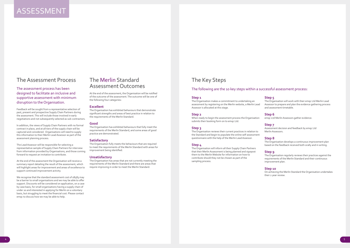# The Assessment Process

## The assessment process has been designed to facilitate an inclusive and supportive assessment with minimum disruption to the Organisation.

Feedback will be sought from a representative selection of past, present and prospective Supply Chain Partners during the assessment. This will include those involved in early negotiations and not subsequently selected as sub-contractors.

In addition, the views of Supply Chain Partners with no formal contract in place, and at all tiers of the supply chain will be captured and considered. Organisations will need to supply this information to their Merlin Lead Assessor as part of the assessment planning process.

We recognise that the standard assessment cost of £8583 may be a barrier to small organisations and we may be able to offer support. Discounts will be considered on application, on a case by case basis, for small organisations having a supply chain of under 20 and interested in applying for Merlin on a voluntary basis, but struggling to meet the financial cost. Please contact emqc to discuss how we may be able to help.

The Lead Assessor will be responsible for selecting a representative sample of Supply Chain Partners for interview from information provided by Organisations, and those coming forward to request an invitation to contribute.

At the end of the assessment the Organisation will receive a summary report detailing the result of the assessment, which will highlight areas for improvement and areas of excellence to support continued improvement activity.

# The Merlin Standard Assessment Outcomes

At the end of the assessment, the Organisation will be notified of the outcome of the assessment. The outcome will be one of the following four categories:

### **Excellent**

The Organisation has exhibited behaviours that demonstrate significant strengths and areas of best practice in relation to the requirements of the Merlin Standard.

#### **Good**

The Organisation has exhibited behaviours that fully meet the requirements of the Merlin Standard, and some areas of good practice are demonstrated.

#### **Satisfactory**

The Organisation fully meets the behaviours that are required to meet the requirements of the Merlin Standard with areas for improvement being identified.

### **Unsatisfactory**

The Organisation has areas that are not currently meeting the requirements of the Merlin Standard and there are areas that require improving in order to meet the Merlin Standard.

# ASSESSMENT

# The Key Steps

### **Step 1**

The Organisation makes a commitment to undertaking an assessment by registering on the Merlin website, a Merlin Lead Assessor is allocated at this stage.

#### **Step 2**

When ready to begin the assessment process the Organisation submits their booking form on to emqc Ltd.

#### **Step 3**

The Organisation reviews their current practices in relation to the Standard and begin to populate the online self-assessment questionnaire with the help of the Merlin Lead Assessor.

### **Step 4**

The Organisation will inform all their Supply Chain Partners that their Merlin Assessment is being planned and signpost them to the Merlin Website for information on how to contribute should they not be chosen as part of the sampling process.

### **Step 5**

The Organisation will work with their emqc Ltd Merlin Lead Assessor to prepare and plan the evidence gathering process and assessment timetable.

#### **Step 6**

emqc Ltd Merlin Assessors gather evidence.

#### **Step 7**

Assessment decision and feedback by emqc Ltd Merlin Assessors.

#### **Step 8**

The Organisation develops a continuous improvement plan based on the feedback received both orally and in writing.

#### **Step 9**

The Organisation regularly reviews their practices against the requirements of the Merlin Standard and their continuous improvement plan.

#### **Step 10**

On achieving the Merlin Standard the Organisation undertakes their 2 year review.

## The following are the 10 key steps within a successful assessment process: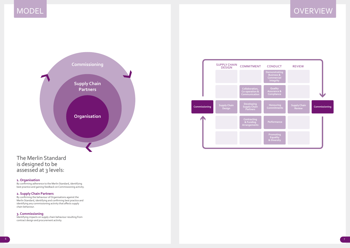

### **1. Organisation**

By confirming adherence to the Merlin Standard, identifying best practice and gaining feedback on Commissioning activity.

### **2. Supply Chain Partners**

By confirming the behaviour of Organisations against the Merlin Standard, identifying and confirming best practice and identifying any commissioning activity that affects supply chain behaviour.

## **3. Commissioning**

Identifying impacts on supply chain behaviour resulting from contract design and procurement activity.





# **OVERVIEW**

# The Merlin Standard is designed to be assessed at 3 levels: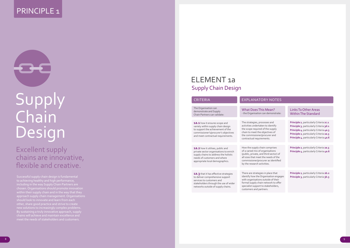# PRINCIPLE<sub>1</sub>



# Supply Chain Design

Successful supply chain design is fundamental to achieving healthy and high performance, including in the way Supply Chain Partners are chosen. Organisations should promote innovation within their supply chain and in the way that they approach supply chain management. Organisations new solutions to increasingly complex problems. By sustaining a truly innovative approach, supply chains will achieve and maintain excellence and

# Excellent supply chains are innovative, flexible and creative.

# ELEMENT 1a Supply Chain Design

The Organisation can demonstrate and Supply Chain Partners can validate:

# CRITERIA EXPLANATORY NOTES

What Does This Mean? - the Organisation can demonstrate:

### Links To Other Areas Within The Standard

**1a.1** how it ensures scope and variety within supply chain design to support the achievement of the commissioner's/procurer's objectives and meet contractual requirements.

The strategies, processes and activities undertaken to identify the scope required of the supply chain to meet the objectives of

**Principle 2**, particularly Criteria **2c.1 Principle 3**, particularly Criteria **3d.1 Principle 4**, particularly Criteria **4a.3 Principle 2**, particularly Criteria **2a.3 Principle 4**, particularly Criteria **4a.6**

**Principle 2**, particularly Criteria **2a.3 Principle 4**, particularly Criteria **4a.6**

the commissioner/procurer and contractual requirements. How the supply chain comprises of a varied mix of organisations (public, private, and third sector) of all sizes that meet the needs of the commissioner/procurer as identified by the research activities.

**Principle 2**, particularly Criteria **2b.2 Principle 3**, particularly Criteria **3b.3**

There are strategies in place that identify how the Organisation engages with organisations outside of their formal supply chain network to offer specialist support to stakeholders, customers and partners.

**1a.2** how it utilises, public and private sector organisations to enrich supply chains to address the holistic needs of customers and where appropriate local demographics.

**1a.3** that it has effective strategies to deliver comprehensive support services to customers and stakeholders through the use of wider networks outside of supply chains.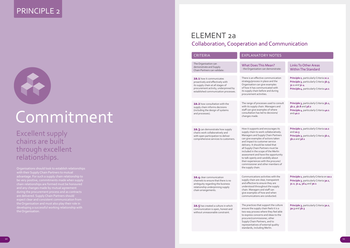# PRINCIPLE 2



# Commitment

Organisations should look to establish relationships with their Supply Chain Partners to mutual advantage. For such a supply chain relationship to be very positive, commitments made when supply and any changes made by mutual agreement are delivered. Supply Chain Partners should expect clear and consistent communication from

Excellent supply chains are built through excellent relationships.

# ELEMENT 2a Collaboration, Cooperation and Communication

#### Links To Other Areas Within The Standard

**Principle 2**, particularly Criteria **2c.1 Principle 3**, particularly Criteria **3b.3**, **3c.1** and **3c.4 Principle 4**, particularly Criteria **4a.1**

pport the culture ain feels it is a ere they feel able and ideas to the per, other Supply Chain Partners, and to representatives of external quality standards, including Merlin.

**Principle 3**, particularly Criteria **3b.1**, **3b.2**, **3b.8** and **3d.2 Principle 4**, particularly Criteria **4a.1** and **4a.2**

**Principle 1**, particularly Criteria **1a.2** and **1a.3 Principle 3**, particularly Criteria **3b.1**, **3b.2** and **3d.1**

**Principle 1**, particularly Criteria 0n **1a.1 Principle 3**, particularly Criteria **3a.1**, **3c.2**, **3c.4**, **3d.4** and **3e.1**

**Principle 3**, particularly Criteria **3a.2**, **3a.3** and **3b.3**

| <b>CRITERIA</b>                                                                                                                                                                   | <b>EXPLANATORY</b>                                                                                                                                                                                                                                                                                                                               |
|-----------------------------------------------------------------------------------------------------------------------------------------------------------------------------------|--------------------------------------------------------------------------------------------------------------------------------------------------------------------------------------------------------------------------------------------------------------------------------------------------------------------------------------------------|
| The Organisation can<br>demonstrate and Supply<br>Chain Partners can validate:                                                                                                    | What Does This N<br>- the Organisation can                                                                                                                                                                                                                                                                                                       |
| 2a.1 how it communicates<br>proactively and effectively with<br>its supply chain at all stages of<br>procurement activity, underpinned by<br>established communication processes. | There is an effective co<br>strategy/process in plac<br>Organisation can give e<br>of how it has communi-<br>its supply chain before<br>procurement activities.                                                                                                                                                                                  |
| <b>2a.2</b> how consultation with the<br>supply chain informs decisions<br>(including the design of systems<br>and processes).                                                    | The range of processes<br>with its supply chain. M<br>staff can give examples<br>consultation has led to<br>changes made.                                                                                                                                                                                                                        |
| 2a.3 can demonstrate how supply<br>chains work collaboratively and<br>with open participation to deliver<br>comprehensive services to customers.                                  | How it supports and en<br>supply chain to work co<br>Managers and Supply C<br>can give examples of a<br>and impact to custome<br>delivery. It should be no<br>all Supply Chain Partne<br>included in the scope of<br>assessment and have tl<br>to talk openly and cand<br>their experiences with t<br>commissioner and othe<br>the supply chain. |
| 2a.4 clear communication<br>channels to ensure that there is no<br>ambiguity regarding the business<br>relationship underpinning supply<br>chain arrangements.                    | Communications activi<br>supply chain are clear, t<br>and effective to ensure<br>understood throughout<br>chain. Managers and st<br>give examples of how a<br>communications are co                                                                                                                                                              |
| 2a.5 has created a culture in which<br>communication is open, honest and<br>without unreasonable constraint.                                                                      | The practices that supp<br>ensure the supply chair<br>two way process where<br>to express concerns and<br>procurer/commissioner                                                                                                                                                                                                                  |

## RY NOTES

Mean? n demonstrate:

communication lace and the e examples nicated with re and during

es used to consult Managers and les of where to decisions/

encourages its collaboratively. y Chain Partners actions taken ner service noted that ners must be of the Merlin the opportunity Indidly about the procurer/ ther members of

ivities with the r, transparent re they are out the supply I staff can w and when conducted.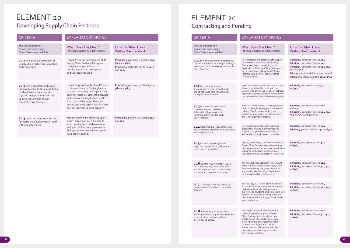# ELEMENT 2b Developing Supply Chain Partners

| <b>CRITERIA</b>                                                                                                                                                                                                    | <b>EXPLANATORY NOTES</b>                                                                                                                                                                                                                                                                                                     |                                                                                                                       |
|--------------------------------------------------------------------------------------------------------------------------------------------------------------------------------------------------------------------|------------------------------------------------------------------------------------------------------------------------------------------------------------------------------------------------------------------------------------------------------------------------------------------------------------------------------|-----------------------------------------------------------------------------------------------------------------------|
| The Organisation can<br>demonstrate and Supply<br>Chain Partners can validate:                                                                                                                                     | <b>What Does This Mean?</b><br>- the Organisation can demonstrate:                                                                                                                                                                                                                                                           | <b>Links To Other Areas</b><br><b>Within The Standard</b>                                                             |
| 2 <b>b.1</b> how the development of all<br>Supply Chain Partners is supported<br>and encouraged.                                                                                                                   | How it drives the development of its<br>Supply Chain Partners. Managers<br>can give examples of what<br>developments have taken place<br>and the resources used.                                                                                                                                                             | Principle 3, particularly Criteria 3a.4,<br>$3b.2$ and $3b.8$<br>Principle 4 particularly Criteria 4a.5<br>and $4a.6$ |
| <b>2b.2</b> how it identifies and assists<br>the supply chain to obtain additional<br>funding/finance streams and<br>support services where available,<br>to build capacity and deliver<br>comprehensive services. | How it supports Supply Chain Partners<br>to obtain additional funding/finance<br>streams, those that the Organisation<br>can offer internally across the network<br>and external funding/finance viable<br>from outside the supply chain, and<br>encourages the Supply Chain Partners<br>to work together to build capacity. | Principle 3, particularly Criteria 3b.2,<br>3d.2 and 3d.5                                                             |
| $\mathsf{2b.3}$ how it actively promotes and<br>facilitates the development of staff<br>within supply chains.                                                                                                      | The development it offers to Supply<br>Chain Partners giving examples of<br>what development has been offered<br>and how this has been implemented<br>and how impact on quality of service<br>has been measured.                                                                                                             | Principle 3, particularly Criteria 3a.3<br>and $3d.2$                                                                 |
|                                                                                                                                                                                                                    |                                                                                                                                                                                                                                                                                                                              |                                                                                                                       |

# ELEMENT 2c Contracting and Funding

#### Links To Other Areas Within The Standard

**Principle 1**, particularly Criteria **1a.1 Principle 2**, particularly Criteria **2a.1 Principle 3**, particularly Criteria **3a.1**, **3c.3**, **3d.3** and **3e.1 Principle 4**, particularly Criteria **4a.3** and **4a.6 Principle 3**, particularly Criteria **3c.1** and **3c.4**

**Principle 3**, particularly Criteria **3c.1** and **3c.4** 

**Principle 2**, particularly Criteria **2a.2** and **2a.4 Principle 3**, particularly Criteria **3a.4**, **3c.1**, **3c.2**, **3c.3**, **3c.4**, **3d.3** and **3e.1**

**Principle 2**, particularly Criteria **2a.4 Principle 3**, particularly Criteria **3c.1** and **3c.4**

**Principle 3**, particularly Criteria **3c.1** and **3d.3**

**Principle 2**, particularly Criteria **2a.1 Principle 3**, particularly Criteria **3c.1**, **3c.4** and **3d.3**

**Principle 2**, particularly Criteria **2a.4 Principle 3**, particularly Criteria **3a.1**, **3a.4**  and **3d.3**

**Principle 2**, particularly Criteria **2a.1 Principle 3**, particularly Criteria **3c.1**, **3c.4**  and **3d.3**

| <b>CRITERIA</b>                                                                                                                                                | <b>EXPLANATORY NC</b>                                                                                                                                                                                                                                                                                                |
|----------------------------------------------------------------------------------------------------------------------------------------------------------------|----------------------------------------------------------------------------------------------------------------------------------------------------------------------------------------------------------------------------------------------------------------------------------------------------------------------|
| The Organisation can<br>demonstrate and Supply<br>Chain Partners can validate:                                                                                 | What Does This Mean?<br>- the Organisation can demon                                                                                                                                                                                                                                                                 |
| <b>2C.1</b> that its procurement processes are<br>fair and transparent, including in the way it<br>selects and communicates with its Supply<br>Chain Partners. | How processes and procedures to<br>procurement are managed effect<br>The process used to select and sc<br>Expressions of Interest (EOI's). M.<br>can give examples of how Supply<br>Partners were given feedback wh<br>successful or not.                                                                            |
| <b>2C.2</b> that funding/payment<br>arrangements are fair, proportionate<br>and do not cause undue financial risk<br>for Supply Chain Partners.                | How the financial model used too<br>of potential financial risks to both<br>Organisation and its Supply Chair<br>Managers can give examples of hov<br>the arrangements were discussed a                                                                                                                              |
| 2C.3 that it devises contractual<br>documentation which clearly<br>defines the obligations of both<br>the Organisation and its Supply<br>Chain Partners.       | There is a contract or service level a<br>(SLA) in place depending upon th<br>delivery. The documentation is cle<br>concise, defines obligations of ea<br>and is not overly burdensome.                                                                                                                              |
| 2C.4 clear rationale to support a viable<br>and transparent allocation of market share<br>within supply chains.                                                | How the allocation of market shar<br>agreed according to the Organisa<br>needs and Supply Chain Partners al<br>as identified through research acti                                                                                                                                                                   |
| <b>2C.5</b> has proactively negotiated<br>regarding volume, funding/finance and<br>performance expectations.                                                   | Clearly, how it negotiated with its<br>Supply Chain Partners, regarding<br>funding/finance and performance e<br>Examples can be given of the proce<br>undertaken and documentation co                                                                                                                                |
| 2C.6 how the requirements of Supply<br>Chain Partners have been taken into<br>account in pre and post contract award<br>processes and payment structures.      | The negotiations undertaken took<br>of the individual needs of the Supp<br>Partners and they can give exam<br>any specific payment terms nego<br>to support Supply Chain Partners.                                                                                                                                   |
| 2C.7 a successful strategy to manage<br>the transfer of funds/finance within the<br>network.                                                                   | The strategy for transfer of funds<br>across the network is effective an<br>the funding/financial model, paym<br>structures and systems used were<br>account. Arrangements were flex<br>take the needs of the Supply Chair<br>into consideration.                                                                    |
| 2C.8 transparency in the way fees,<br>including where appropriate management<br>fees, and other costs are explained,<br>discussed and agreed.                  | The Organisation can give examp<br>documents/guidance given to Sup<br>Chain Partners, that identifies a c<br>breakdown of what costs and fee<br>incurred. Where a management f<br>charged, the Organisation should<br>ensure that Supply Chain Partner.<br>made aware of what they receive<br>their management fees. |

#### Mean? de monstrate:

edures to support  $p$ <sub>ped effectively.</sub>  $\text{R}\text{C}$  and score EOI's). Managers w Supply Chain thers in the feed of the feedback whether  $\epsilon$ 

used took account s to both the ply Chain Partners. les of how and when iscussed and agreed.

ice level agreement I upon the level of tion is clear, ons of each party some.

rket share was Organisation's artners abilities earch activities.

ed with its individual egarding volume, rmance expectations. the processes ntation completed.

aken took account f the Supply Chain ive examples of ms negotiated Partners.

of funds/finances ective and ensures lel, payment structure<br>Ised were taken into were flexible and pply Chain Partners

ve examples of en to Supply itifies a clear s and fees are gement fee is n should n Partners are y receive for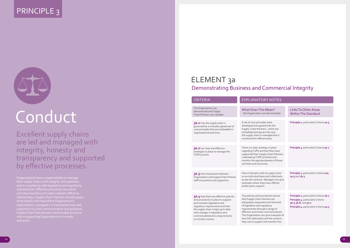# PRINCIPLE 3



# Conduct

Organisations have a responsibility to manage their supply chains with integrity and openness requirements. Effective processes, assurance relationships. Supply Chain Partners should expect to be clearly informed of the Organisation's expectations, managed in a transparent way and supported via clear communication and guidance. Supply Chain Partners also need to play an active role in supporting Organisations to comply and excel.

Excellent supply chains are led and managed with integrity, honesty and transparency and supported by effective processes.

# ELEMENT 3a Demonstrating Business and Commercial Integrity

Links To Other Areas Within The Standard

**Principle 2**, particularly Criteria **2a.5**

**Principle 3**, particularly Criteria **3e.1**

**Principle 2**, particularly Criteria **2a2**, **2a.5** and **2b.3**

**Principle 2**, particularly Criteria **2b.1 Principle 3**, particularly Criteria **3b.3**-**3b.8**, and **3e.2 Principle 4**, particularly Criteria **4a.3**

| <b>CRITERIA</b>                                                                                                                                                                                                                                                                         | <b>EXPLANATOR</b>                                                                                                                                                                                                              |
|-----------------------------------------------------------------------------------------------------------------------------------------------------------------------------------------------------------------------------------------------------------------------------------------|--------------------------------------------------------------------------------------------------------------------------------------------------------------------------------------------------------------------------------|
| The Organisation can<br>demonstrate and Supply<br>Chain Partners can validate:                                                                                                                                                                                                          | <b>What Does This</b><br>- the Organisation car                                                                                                                                                                                |
| 3a.1 how the supply chain is<br>governed by a mutually agreed set of<br>core principles that are embedded in<br>organisational practices.                                                                                                                                               | A set of core principle<br>developed and agree<br>Supply Chain Partner<br>embedded and gover<br>the supply chain is ma<br>monitored for effectiv                                                                               |
| 3a.2 has clear and effective<br>strategies in place to manage the<br>TUPE process.                                                                                                                                                                                                      | There is a clear strate<br>regarding TUPE and t<br>supported their Supp<br>undertaking TUPE act<br>monitor the appropria<br>activities and outcom                                                                              |
| 3a.3 that interactions between<br>Organisation and Supply Chain Partner<br>staff are positive and supportive.                                                                                                                                                                           | How it interacts with<br>on an individual basis<br>across the network. N<br>examples where they<br>and/or given support.                                                                                                       |
| 3a.4 that there are effective policies<br>and procedures in place to support<br>and maintain legislative and<br>regulatory requirements and that<br>the supply chain is kept up to date<br>with changes in legislation and<br>contractual/statutory requirements<br>in a timely manner. | The policies and proc<br>that Supply Chain Par<br>adequately supported<br>of legislative and regu<br>requirements through<br>effective and timely c<br>The Organisation can<br>how this takes place a<br>they use to support a |

## RY NOTES

s Mean? an demonstrate:

les were ed with the ers, which are ern the way nanaged and is tiveness.

tegy in place I that they have ply Chain Partners uctivities and riateness of those mes.

h its supply chain is and collectively Managers can give ex have offered

ocedures ensure artners are ed and informed qulatory gh a range of communications. an give examples of and the systems and monitor this.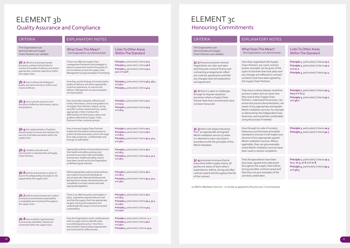# ELEMENT 3b ELEMENT 3c Quality Assurance and Compliance

# Honouring Commitments

### Links To Other Areas Within The Standard

**Principle 1**, particularly Criteria **1a.1 Principle 2**, particularly Criteria **2a.1** and **2c.1 Principle 3**, particularly Criteria **3c.4**

**Principle 2**, particularly Criteria **2a.4**, **2a.5** and **2c.3 Principle 3**, particularly Criteria **3a.1**  and **3d.2**

**Principle 2**, particularly Criteria **2a.5 Principle 3**, particularly Criteria **3a.1**

**Principle 2**, particularly Criteria **2a.1**, **2c.1** , **2c.3**, **2c.6** and **2c.8 Principle 3**, particularly Criteria **3a.4**  and **3d.3**

| <b>CRITERIA</b>                                                                                                                                                                        | <b>EXPLANATORY NOTES</b>                                                                                                                                                                                                                                                                                                                   |                                                                                                                                                                               |
|----------------------------------------------------------------------------------------------------------------------------------------------------------------------------------------|--------------------------------------------------------------------------------------------------------------------------------------------------------------------------------------------------------------------------------------------------------------------------------------------------------------------------------------------|-------------------------------------------------------------------------------------------------------------------------------------------------------------------------------|
| The Organisation can<br>demonstrate and Supply<br>Chain Partners can validate:                                                                                                         | <b>What Does This Mean?</b><br>- the Organisation can demonstrate:                                                                                                                                                                                                                                                                         | <b>Links To Other Areas</b><br><b>Within The Standard</b>                                                                                                                     |
| 3b.1 effective and proportionate<br>processes, policies and activities to<br>monitor the quality of delivery and where<br>appropriate, customer experience within<br>the supply chain. | There is an effective supply chain<br>management framework and strategies in<br>place to review and monitor the quality of<br>service delivery across the supply chain.<br>Management can give examples of monitoring.                                                                                                                     | Principle 2, particularly Criteria 2a.3<br>Principle 3, particularly Criteria 3d.6<br>Principle 4, particularly Criteria 4a.1,<br>4a.2 and 4a.6                               |
| 3b.2 how it utilises the findings of<br>quality assurance activity to inform and<br>improve delivery.                                                                                  | How they use the findings of monitoring the<br>quality of delivery and where appropriate<br>customer experience, to improve the<br>delivery. Management can give examples<br>of improvement.                                                                                                                                               | Principle 3, particularly Criteria 3d.3, 3d.4<br>and $3e.2$<br>Principle 4, particularly Criteria 4a.5                                                                        |
| 3b.3 how it ensures access to and<br>provision of effective information, advice<br>and guidance.                                                                                       | How it provides impartial, effective and<br>timely information, advice and guidance to<br>its Supply Chain Partners before, during<br>and after contract award and how, where<br>appropriate, it then monitors the<br>effectiveness of information, advice and<br>guidance delivered by Supply Chain<br>Partners to their customer groups. | Principle 1, particularly Criteria 1a.2<br>and $1a.3$<br>Principle 2, particularly Criteria 2a.3<br>and $2b.3$                                                                |
| 3b.4 the implementation of policies<br>and processes to ensure and maintain the<br>security of all data and assets within the<br>supply chain.                                         | How it ensures Supply Chain Partners<br>implement the policies and processes to<br>protect all data and assets, which will range<br>from data protection, confidentiality and<br>through to staff safety.                                                                                                                                  | Principle 1, particularly Criteria 1a.1<br>Principle 2, particularly Criteria 2b.1<br>and $2b.3$<br>Principle 3, particularly Criteria 3a.4, 3c.4<br>and $3d.2$               |
| 3b.5 a healthy and safe work<br>environment is maintained by all Supply<br>Chain Partners.                                                                                             | Appropriate policies and procedures ensure<br>that health and safety practices and<br>procedures provide a safe and healthy<br>environment. Health and safety checks<br>have been carried out by the Organisation<br>at defined regular intervals.                                                                                         | Principle 2, particularly Criteria 2b.1<br>and $2b.3$<br>Principle 3, particularly Criteria 3a.4, 3c.4<br>and $3d.2$                                                          |
| 3b.6 policies and practices in place to<br>assure the safeguarding of people at risk<br>supported by the supply chain.                                                                 | Where appropriate, policies and procedures<br>are in place to ensure all individuals at<br>risk are kept safe. Relevant Disclosure and<br>Barring Service checks, risk assessments, are<br>completed in a timely manner and meet<br>appropriate legislation.                                                                               | Principle 2, particularly Criteria 2b.1<br>and $2b.3$<br>Principle 3, particularly Criteria 3a.4, 3c.4<br>and $3d.2$                                                          |
| 3b.7 policies and processes are in place<br>to ensure environmental sustainability<br>is embedded and monitored throughout<br>the supply chain.                                        | There is an effective policy and targets in<br>place. Legislative requirements are met<br>and that the supply chain has appropriate<br>targets, training and awareness and<br>understands the impact of environmental<br>sustainability.                                                                                                   | Principle 2, particularly Criteria 2b.1<br>and $2b.3$<br>Principle 3, particularly Criteria 3a.4, 3c.4<br>and $3d.2$<br>Principle 4, particularly Criteria 4a.3<br>and $4a.6$ |
| 3b.8 how excellent / good practice<br>is proactively identified, shared and<br>monitored within the supply chain.                                                                      | How the Organisation works collaboratively<br>with its supply chain to identify what<br>is excellent/good practice. How this is<br>documented, shared (where appropriate)<br>and monitored for effectiveness.                                                                                                                              | Principle 2, particularly Criterion 2a.2<br>Principle 3, particularly Criteria 3d.1<br>and $3d.2$<br>Principle 4, particularly Criterion 4a.5                                 |

| <b>CRITERIA</b>                                                                                                                                                                                                                        | <b>EXPLANATORY NC</b>                                                                                                                                                                                                                                                                                                              |
|----------------------------------------------------------------------------------------------------------------------------------------------------------------------------------------------------------------------------------------|------------------------------------------------------------------------------------------------------------------------------------------------------------------------------------------------------------------------------------------------------------------------------------------------------------------------------------|
| The Organisation can<br>demonstrate and Supply<br>Chain Partners can validate:                                                                                                                                                         | What Does This Mean?<br>- the Organisation can demon                                                                                                                                                                                                                                                                               |
| 3C.1 how pre and post contract<br>negotiations are clear and open<br>and that post-contract finance and<br>contracting arrangements reflect<br>pre-contract agreements and that<br>any changes have full explanation<br>and agreement. | How they negotiated with Sup<br>Chain Partners pre / post con<br>award, examples can be giver<br>types of activities that took pl<br>any changes are reflected in c<br>variations that have been agre<br>the Supply Chain Partners.                                                                                                |
| 3C.2 that it is open to challenges<br>through its dispute resolution<br>processes where a Supply Chain<br>Partner feels that commitments have<br>not been honoured.                                                                    | They have a robust dispute re<br>process in place and can show<br>they ensure their Supply Chair<br>Partners understand the proc<br>access the process document<br>aware of any appropriate and<br>Merlin mediation services, for<br>as delivered by the Independe<br>Examiner, and would feel com<br>using the process if needed. |
| 3C.3 that it will respect decisions<br>from an appropriate and agreed<br>Merlin mediation service (1) when<br>it is deemed to have not acted in<br>accordance with the principles of the<br>Merlin Standard.                           | How through its code of cond<br>behaviours and business princ<br>standards it ensures it will res<br>decision of any appropriate ao<br>Merlin mediation services. Wh<br>applicable, they can give exan<br>where Merlin mediation servi<br>been used to resolve complair                                                            |
| 3C.4 processes to ensure that at<br>every level within supply chains, all<br>parties are aware of each other's<br>expectations, before, during and after<br>contract award and throughout the life<br>of the contract.                 | That all expectations have be<br>discussed, agreed and unders<br>throughout the supply chain b<br>during and after contract awa<br>that they can give examples o<br>activities undertaken.                                                                                                                                         |
| (1) Merlin Mediation Service - or similar as agreed by the procurer / Commiss                                                                                                                                                          |                                                                                                                                                                                                                                                                                                                                    |
|                                                                                                                                                                                                                                        |                                                                                                                                                                                                                                                                                                                                    |

#### lean? e monstrate:

ith Supply st contract given of the ook place and ed in contract n agreed by

ute resolution i show how / Chain e process, can mentation, are e and agreed es, for example pendent Case el comfortable ded.

f conduct, s principles/ ill respect any iate agreed es. Where examples services have mplaints.

ve been nderstood hain before, t award and ples of the

mmissioner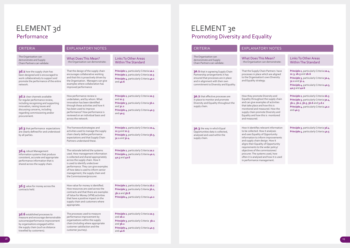# ELEMENT 3e Promoting Diversity and Equality

Links To Other Areas Within The Standard

**Principle 2**, particularly Criteria **2a.4**, **2c.3**, **2b.5** and **2b.6 Principle 3**, particularly Criteria **3a.4**, **3c.2** and **3c.4 Principle 4**, particularly Criteria **4a.3**, **4a.5** and **4a.6**

**Principle 2**, particularly Criteria **2b.3 Principle 3**, particularly Criteria **3a.4**, **3b.1**, **3b.2**, **3b.5**, **3b.6** and **3.d.2 Principle 4**, particularly Criteria **4a.2** and **4a.3**

**Principle 3**, particularly Criteria **3d.4 Principle 4**, particularly Criteria **4a.5**

| <b>CRITERIA</b>                                                                                                                                                                          | <b>EXPLANATOR</b>                                                                                                                                                                                                                                                                       |
|------------------------------------------------------------------------------------------------------------------------------------------------------------------------------------------|-----------------------------------------------------------------------------------------------------------------------------------------------------------------------------------------------------------------------------------------------------------------------------------------|
| The Organisation can<br>demonstrate and Supply<br>Chain Partners can validate:                                                                                                           | What Does This<br>- the Organisation car                                                                                                                                                                                                                                                |
| 3e.1 that in agreeing Supply Chain<br>Partnership arrangements it has<br>ensured that processes are in place<br>and in alignment with their own<br>commitment to Diversity and Equality. | That the Supply Chain<br>processes in place wh<br>to the Organisation's<br>and Equality strategy.                                                                                                                                                                                       |
| 3e.2 that effective processes are<br>in place to monitor and promote<br>Diversity and Equality throughout the<br>supply chain.                                                           | How they promote Di<br>Equality throughout t<br>and can give example<br>that take place and ho<br>monitored and measu<br>supply chain promote<br>Equality and how this<br>and measured.                                                                                                 |
| 3e.3 the way in which Equal<br>Opportunities data is collected,<br>analysed and used within the<br>supply chain.                                                                         | How it identifies relev<br>to be collected. How i<br>and uses Equality of C<br>information to inform<br>and supply chain desig<br>aligns their Equality of<br>requirements to the w<br>objectives of the com<br>procurer. The systems<br>often it is analysed an<br>in performance mana |
|                                                                                                                                                                                          |                                                                                                                                                                                                                                                                                         |

# RY NOTES

s Mean? an demonstrate:

ain Partners have vhich are aligned 's own Diversity

Diversity and t the supply chain les of activities how this is asured. How the te Diversity and is is monitored

evant information w it analyses f Opportunity mingrovements sign. How it of Opportunity wider policy/ mmissioner/ ms used, how and how it is used hagement.

# ELEMENT 3d Performance

# CRITERIA **EXPLANATORY NOTES**

| The Organisation can<br>demonstrate and Supply<br>Chain Partners can validate:                                                                                                                                                 | <b>What Does This Mean?</b><br>- the Organisation can demonstrate:                                                                                                                                                                                                                                                                  | <b>Links To Other Areas</b><br><b>Within The Standard</b>                                                                                                               |
|--------------------------------------------------------------------------------------------------------------------------------------------------------------------------------------------------------------------------------|-------------------------------------------------------------------------------------------------------------------------------------------------------------------------------------------------------------------------------------------------------------------------------------------------------------------------------------|-------------------------------------------------------------------------------------------------------------------------------------------------------------------------|
| 3d.1 how the supply chain has<br>been designed and is encouraged to<br>work collaboratively to support and<br>promote the performance of the entire<br>network.                                                                | That the design of the supply chain<br>encourages collaborative working<br>and that this is proactively driven by<br>the Organisation. Managers can give<br>examples where collaboration has<br>improved performance                                                                                                                | Principle 1, particularly Criteria 1a.1<br>Principle 2, particularly Criteria 2a.3<br>Principle 4, particularly Criteria 4a.1<br>and $4a.6$                             |
| 3d.2 clear channels available<br>for regular performance review,<br>including recognising and supporting<br>innovation, raising issues and<br>discussing concerns, including<br>regarding commissioning and/or<br>procurement. | How performance review is<br>undertaken, and by whom. What<br>innovation has been identified<br>through these activities and how it<br>has been used to improve<br>performance? How performance is<br>reviewed on an individual basis and<br>across the network.                                                                    | Principle 2, particularly Criteria 2a.5<br>and $2c.5$<br>Principle 3, particularly Criteria 3b.1<br>and $3c.2$<br>Principle 4, particularly Criteria 4a.3<br>and $4a.5$ |
| 3d.3 that performance expectations<br>are clearly defined for and understood<br>by all parties.                                                                                                                                | The framework/strategies and<br>activities used to manage the supply<br>chain clearly define performance<br>expectations and that Supply Chain<br>Partners understand these.                                                                                                                                                        | Principle 2, particularly Criteria 2a.4,<br>2c.3 and 2c.5<br>Principle 3, particularly Criteria 3b.3,<br>3c.1 and 3c.4                                                  |
| 3d.4 robust Management<br>Information systems that produce<br>consistent, accurate and appropriate<br>performance information that is<br>shared across the supply chain.                                                       | The rationale behind the systems<br>used. How management information<br>is collected and shared appropriately<br>across the supply chain. How it<br>is used to identify under/over<br>performance. They can give examples<br>of how data is used to inform senior<br>management, the supply chain and<br>the Commissioner/procurer. | Principle 2, particularly Criteria 2a.2<br>Principle 4, particularly Criteria 4a.2,<br>4a.5 and 4a.6                                                                    |
| 3d.5 value for money across the<br>contracts held.                                                                                                                                                                             | How value for money is identified.<br>How resources are used across the<br>contracts and that there are examples<br>of Value for Money (VFM) activities<br>that have a positive impact on the<br>supply chain and customers where<br>appropriate.                                                                                   | Principle 2, particularly Criteria 2b.2<br>Principle 3, particularly Criteria 3b.1,<br>3b.2 and 3b.8<br>Principle 4, particularly Criteria 4a.2                         |
| 3d.6 established processes to<br>measure and encourage demonstrable<br>outcomes/performance improvement<br>by organisations engaged within<br>the supply chain (such as distance<br>travelled by customers).                   | The processes used to measure<br>performance improvement by<br>organisations within the supply<br>chain (including where appropriate<br>customer satisfaction and the<br>customer journey).                                                                                                                                         | Principle 2, particularly Criteria 2a.3<br>and $2b.2$<br>Principle 3, particularly Criteria 3b.1<br>and $3b.2$<br>Principle 4, particularly Criteria 4a.5<br>and $4a.6$ |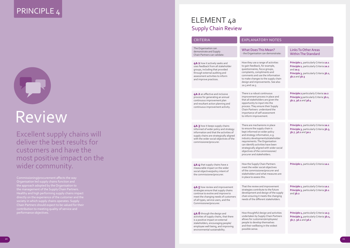# PRINCIPLE 4



# Review

Commissioning/procurement affects the way Organisation led supply chains function and the approach adopted by the Organisation to the management of the Supply Chain Partners. Healthy and high performing supply chains impact directly on the experience of the customer and the contribution to meeting quality of service and performance objectives.

The Organisation can demonstrate and Supply CRITERIA<br>
The Organisation can<br>
demonstrate and Supply<br>
Chain Partners can validate:<br>
Chain Partners can validate:<br>
The Organisation can demon

Excellent supply chains will deliver the best results for customers and have the most positive impact on the wider community.

# ELEMENT 4a Supply Chain Review

#### What Does This Mean? - the Organisation can demonstrate:

### Links To Other Areas Within The Standard

**4a.1** how it actively seeks and uses feedback from all stakeholder groups, including that provided through external auditing and assessment activities to inform and improve practices.

2a.3 and 2a.5.

**Principle 1**, particularly Criteria **1a.1 Principle 2**, particularly Criteria **2a.2** and **2a.5 Principle 3**, particularly Criteria **3b.1**, **3b.2** and **3b.3**

**Principle 2** particularly Criteria **2a.2 Principle 3** particularly Criteria **3b.1**, **3b.2**, **3d.2** and **3d.4**

**Principle 2**, particularly Criteria **2a.2 Principle 3**, particularly Criteria **3b.3**, **3b.7**, **3d.2** and **3e.1**

**Principle 1**, particularly Criteria **1a.1**

- How they use a range of activities to gain feedback, for example, questionnaires, focus groups, complaints, compliments and comments and use the information to make changes to the supply chain design and improvements. See also
- There is a robust continuous improvement process in place and that all stakeholders are given the opportunity to input into the process. They ensure their Supply Chain Partners understand the importance of self-assessment to inform improvement.
- industry developments/stakeholder
	-
	-
	-

**Principle 1**, particularly Criteria **1a.1 Principle 3**, particularly Criteria **3b.1**  and **3b.2**

**Principle 1,** particularly Criteria **1a.3 Principle 3,** particularly Criteria **3b.1, 3b.7. 3d.1** and **3d.2**

#### There are mechanisms in place to ensure the supply chain is kept informed on wider policy and strategy information, e.g.

requirements. The Organisation can identify activities have been strategically aligned with wider social objectives of the commissioner/ procurer and stakeholders.

How the Supply Chain Partners meet the wider social objectives of the commissioner/procurer and stakeholders and what measures are in place to assess this.

That the review and improvement strategies contribute to the future development and design of the supply chain ensuring it meets the changing needs of the different stakeholders.

How thoughtful design and activities undertaken by Supply Chain Partners allows for customers/employees/ people to develop themselves and their wellbeing in the widest possible sense.

**4a.2** an effective and inclusive process for generating an annual continuous improvement plan and resultant action planning and continuous improvement activity.

**4a.3** how it keeps supply chains informed of wider policy and strategy information and that the activities of supply chains are strategically aligned with the wider social objectives of the commissioner/procurer.

**4a.4** that supply chains have a measurable impact on the wider social objectives/policy intent of the commissioner/procurer.

**4a.5** how review and improvement strategies ensure that supply chains continue to evolve and improve to meet the changing needs of customers of all types, service users, and the Commissioner/procurer.

**4a.6** through the design and activities of supply chains, that there is a positive impact on external stakeholders, encouraging people/ employee well-being, and improving environmental sustainability.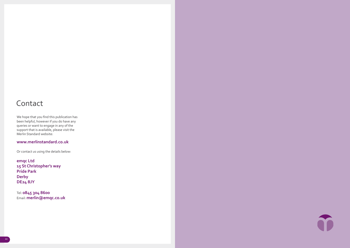# Contact

We hope that you find this publication has been helpful, however if you do have any queries or want to engage in any of the support that is available, please visit the Merlin Standard website:

# **www.merlinstandard.co.uk**

Or contact us using the details below:

**emqc Ltd 15 St Christopher's way Pride Park Derby DE24 8JY**

Tel: **0845 304 8600**  Email: **merlin@emqc.co.uk**